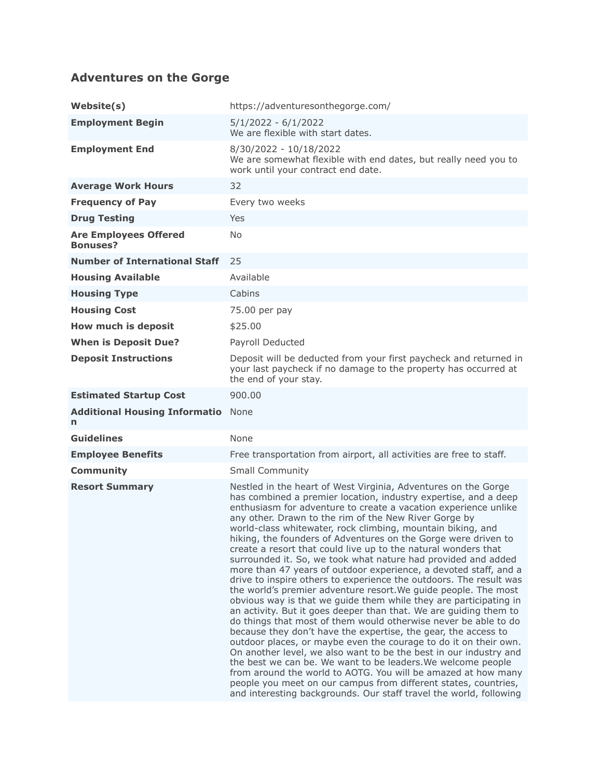## **Adventures on the Gorge**

| Website(s)                                      | https://adventuresonthegorge.com/                                                                                                                                                                                                                                                                                                                                                                                                                                                                                                                                                                                                                                                                                                                                                                                                                                                                                                                                                                                                                                                                                                                                                                                                                                                                                                                                                                                                                |
|-------------------------------------------------|--------------------------------------------------------------------------------------------------------------------------------------------------------------------------------------------------------------------------------------------------------------------------------------------------------------------------------------------------------------------------------------------------------------------------------------------------------------------------------------------------------------------------------------------------------------------------------------------------------------------------------------------------------------------------------------------------------------------------------------------------------------------------------------------------------------------------------------------------------------------------------------------------------------------------------------------------------------------------------------------------------------------------------------------------------------------------------------------------------------------------------------------------------------------------------------------------------------------------------------------------------------------------------------------------------------------------------------------------------------------------------------------------------------------------------------------------|
| <b>Employment Begin</b>                         | $5/1/2022 - 6/1/2022$<br>We are flexible with start dates.                                                                                                                                                                                                                                                                                                                                                                                                                                                                                                                                                                                                                                                                                                                                                                                                                                                                                                                                                                                                                                                                                                                                                                                                                                                                                                                                                                                       |
| <b>Employment End</b>                           | 8/30/2022 - 10/18/2022<br>We are somewhat flexible with end dates, but really need you to<br>work until your contract end date.                                                                                                                                                                                                                                                                                                                                                                                                                                                                                                                                                                                                                                                                                                                                                                                                                                                                                                                                                                                                                                                                                                                                                                                                                                                                                                                  |
| <b>Average Work Hours</b>                       | 32                                                                                                                                                                                                                                                                                                                                                                                                                                                                                                                                                                                                                                                                                                                                                                                                                                                                                                                                                                                                                                                                                                                                                                                                                                                                                                                                                                                                                                               |
| <b>Frequency of Pay</b>                         | Every two weeks                                                                                                                                                                                                                                                                                                                                                                                                                                                                                                                                                                                                                                                                                                                                                                                                                                                                                                                                                                                                                                                                                                                                                                                                                                                                                                                                                                                                                                  |
| <b>Drug Testing</b>                             | Yes                                                                                                                                                                                                                                                                                                                                                                                                                                                                                                                                                                                                                                                                                                                                                                                                                                                                                                                                                                                                                                                                                                                                                                                                                                                                                                                                                                                                                                              |
| <b>Are Employees Offered</b><br><b>Bonuses?</b> | No.                                                                                                                                                                                                                                                                                                                                                                                                                                                                                                                                                                                                                                                                                                                                                                                                                                                                                                                                                                                                                                                                                                                                                                                                                                                                                                                                                                                                                                              |
| <b>Number of International Staff</b>            | 25                                                                                                                                                                                                                                                                                                                                                                                                                                                                                                                                                                                                                                                                                                                                                                                                                                                                                                                                                                                                                                                                                                                                                                                                                                                                                                                                                                                                                                               |
| <b>Housing Available</b>                        | Available                                                                                                                                                                                                                                                                                                                                                                                                                                                                                                                                                                                                                                                                                                                                                                                                                                                                                                                                                                                                                                                                                                                                                                                                                                                                                                                                                                                                                                        |
| <b>Housing Type</b>                             | Cabins                                                                                                                                                                                                                                                                                                                                                                                                                                                                                                                                                                                                                                                                                                                                                                                                                                                                                                                                                                                                                                                                                                                                                                                                                                                                                                                                                                                                                                           |
| <b>Housing Cost</b>                             | 75.00 per pay                                                                                                                                                                                                                                                                                                                                                                                                                                                                                                                                                                                                                                                                                                                                                                                                                                                                                                                                                                                                                                                                                                                                                                                                                                                                                                                                                                                                                                    |
| How much is deposit                             | \$25.00                                                                                                                                                                                                                                                                                                                                                                                                                                                                                                                                                                                                                                                                                                                                                                                                                                                                                                                                                                                                                                                                                                                                                                                                                                                                                                                                                                                                                                          |
| <b>When is Deposit Due?</b>                     | Payroll Deducted                                                                                                                                                                                                                                                                                                                                                                                                                                                                                                                                                                                                                                                                                                                                                                                                                                                                                                                                                                                                                                                                                                                                                                                                                                                                                                                                                                                                                                 |
| <b>Deposit Instructions</b>                     | Deposit will be deducted from your first paycheck and returned in<br>your last paycheck if no damage to the property has occurred at<br>the end of your stay.                                                                                                                                                                                                                                                                                                                                                                                                                                                                                                                                                                                                                                                                                                                                                                                                                                                                                                                                                                                                                                                                                                                                                                                                                                                                                    |
| <b>Estimated Startup Cost</b>                   | 900.00                                                                                                                                                                                                                                                                                                                                                                                                                                                                                                                                                                                                                                                                                                                                                                                                                                                                                                                                                                                                                                                                                                                                                                                                                                                                                                                                                                                                                                           |
| <b>Additional Housing Informatio</b><br>n       | None                                                                                                                                                                                                                                                                                                                                                                                                                                                                                                                                                                                                                                                                                                                                                                                                                                                                                                                                                                                                                                                                                                                                                                                                                                                                                                                                                                                                                                             |
| <b>Guidelines</b>                               | None                                                                                                                                                                                                                                                                                                                                                                                                                                                                                                                                                                                                                                                                                                                                                                                                                                                                                                                                                                                                                                                                                                                                                                                                                                                                                                                                                                                                                                             |
| <b>Employee Benefits</b>                        | Free transportation from airport, all activities are free to staff.                                                                                                                                                                                                                                                                                                                                                                                                                                                                                                                                                                                                                                                                                                                                                                                                                                                                                                                                                                                                                                                                                                                                                                                                                                                                                                                                                                              |
| <b>Community</b>                                | <b>Small Community</b>                                                                                                                                                                                                                                                                                                                                                                                                                                                                                                                                                                                                                                                                                                                                                                                                                                                                                                                                                                                                                                                                                                                                                                                                                                                                                                                                                                                                                           |
| <b>Resort Summary</b>                           | Nestled in the heart of West Virginia, Adventures on the Gorge<br>has combined a premier location, industry expertise, and a deep<br>enthusiasm for adventure to create a vacation experience unlike<br>any other. Drawn to the rim of the New River Gorge by<br>world-class whitewater, rock climbing, mountain biking, and<br>hiking, the founders of Adventures on the Gorge were driven to<br>create a resort that could live up to the natural wonders that<br>surrounded it. So, we took what nature had provided and added<br>more than 47 years of outdoor experience, a devoted staff, and a<br>drive to inspire others to experience the outdoors. The result was<br>the world's premier adventure resort. We guide people. The most<br>obvious way is that we guide them while they are participating in<br>an activity. But it goes deeper than that. We are guiding them to<br>do things that most of them would otherwise never be able to do<br>because they don't have the expertise, the gear, the access to<br>outdoor places, or maybe even the courage to do it on their own.<br>On another level, we also want to be the best in our industry and<br>the best we can be. We want to be leaders. We welcome people<br>from around the world to AOTG. You will be amazed at how many<br>people you meet on our campus from different states, countries,<br>and interesting backgrounds. Our staff travel the world, following |